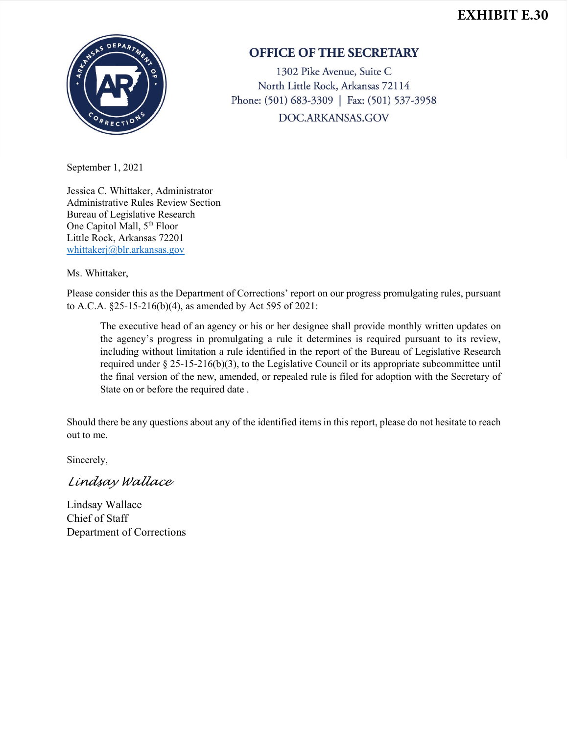## **EXHIBIT E.30**



## **OFFICE OF THE SECRETARY**

1302 Pike Avenue, Suite C North Little Rock, Arkansas 72114 Phone: (501) 683-3309 | Fax: (501) 537-3958 DOC.ARKANSAS.GOV

September 1, 2021

Jessica C. Whittaker, Administrator Administrative Rules Review Section Bureau of Legislative Research One Capitol Mall, 5th Floor Little Rock, Arkansas 72201 [whittakerj@blr.arkansas.gov](mailto:whittakerj@blr.arkansas.gov)

Ms. Whittaker,

Please consider this as the Department of Corrections' report on our progress promulgating rules, pursuant to A.C.A. §25-15-216(b)(4), as amended by Act 595 of 2021:

The executive head of an agency or his or her designee shall provide monthly written updates on the agency's progress in promulgating a rule it determines is required pursuant to its review, including without limitation a rule identified in the report of the Bureau of Legislative Research required under § 25-15-216(b)(3), to the Legislative Council or its appropriate subcommittee until the final version of the new, amended, or repealed rule is filed for adoption with the Secretary of State on or before the required date .

Should there be any questions about any of the identified items in this report, please do not hesitate to reach out to me.

Sincerely,

*Lindsay Wallace*

Lindsay Wallace Chief of Staff Department of Corrections